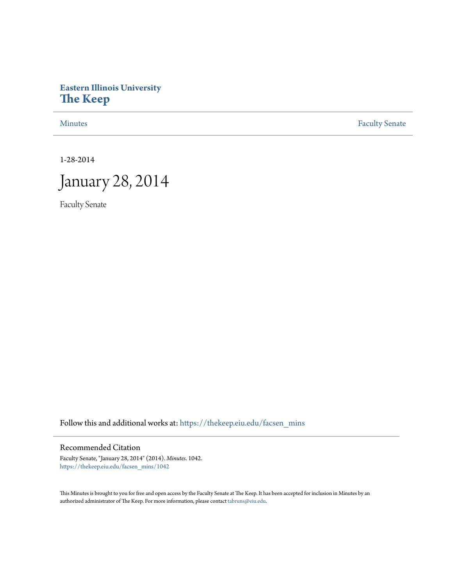# **Eastern Illinois University [The Keep](https://thekeep.eiu.edu?utm_source=thekeep.eiu.edu%2Ffacsen_mins%2F1042&utm_medium=PDF&utm_campaign=PDFCoverPages)**

[Minutes](https://thekeep.eiu.edu/facsen_mins?utm_source=thekeep.eiu.edu%2Ffacsen_mins%2F1042&utm_medium=PDF&utm_campaign=PDFCoverPages) **[Faculty Senate](https://thekeep.eiu.edu/fac_senate?utm_source=thekeep.eiu.edu%2Ffacsen_mins%2F1042&utm_medium=PDF&utm_campaign=PDFCoverPages)** 

1-28-2014



Faculty Senate

Follow this and additional works at: [https://thekeep.eiu.edu/facsen\\_mins](https://thekeep.eiu.edu/facsen_mins?utm_source=thekeep.eiu.edu%2Ffacsen_mins%2F1042&utm_medium=PDF&utm_campaign=PDFCoverPages)

#### Recommended Citation

Faculty Senate, "January 28, 2014" (2014). *Minutes*. 1042. [https://thekeep.eiu.edu/facsen\\_mins/1042](https://thekeep.eiu.edu/facsen_mins/1042?utm_source=thekeep.eiu.edu%2Ffacsen_mins%2F1042&utm_medium=PDF&utm_campaign=PDFCoverPages)

This Minutes is brought to you for free and open access by the Faculty Senate at The Keep. It has been accepted for inclusion in Minutes by an authorized administrator of The Keep. For more information, please contact [tabruns@eiu.edu](mailto:tabruns@eiu.edu).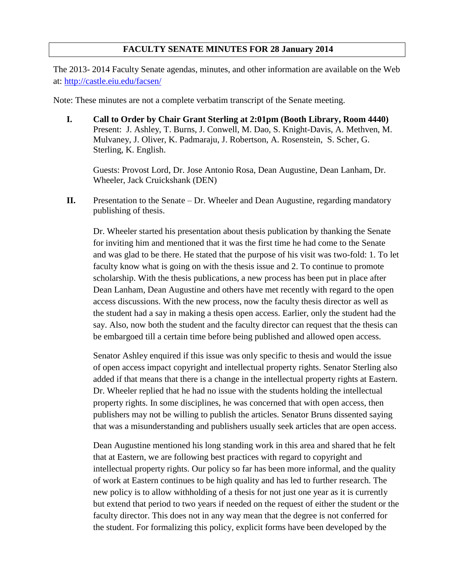# **FACULTY SENATE MINUTES FOR 28 January 2014**

The 2013- 2014 Faculty Senate agendas, minutes, and other information are available on the Web at:<http://castle.eiu.edu/facsen/>

Note: These minutes are not a complete verbatim transcript of the Senate meeting.

**I. Call to Order by Chair Grant Sterling at 2:01pm (Booth Library, Room 4440)**  Present: J. Ashley, T. Burns, J. Conwell, M. Dao, S. Knight-Davis, A. Methven, M. Mulvaney, J. Oliver, K. Padmaraju, J. Robertson, A. Rosenstein, S. Scher, G. Sterling, K. English.

Guests: Provost Lord, Dr. Jose Antonio Rosa, Dean Augustine, Dean Lanham, Dr. Wheeler, Jack Cruickshank (DEN)

**II.** Presentation to the Senate – Dr. Wheeler and Dean Augustine, regarding mandatory publishing of thesis.

Dr. Wheeler started his presentation about thesis publication by thanking the Senate for inviting him and mentioned that it was the first time he had come to the Senate and was glad to be there. He stated that the purpose of his visit was two-fold: 1. To let faculty know what is going on with the thesis issue and 2. To continue to promote scholarship. With the thesis publications, a new process has been put in place after Dean Lanham, Dean Augustine and others have met recently with regard to the open access discussions. With the new process, now the faculty thesis director as well as the student had a say in making a thesis open access. Earlier, only the student had the say. Also, now both the student and the faculty director can request that the thesis can be embargoed till a certain time before being published and allowed open access.

Senator Ashley enquired if this issue was only specific to thesis and would the issue of open access impact copyright and intellectual property rights. Senator Sterling also added if that means that there is a change in the intellectual property rights at Eastern. Dr. Wheeler replied that he had no issue with the students holding the intellectual property rights. In some disciplines, he was concerned that with open access, then publishers may not be willing to publish the articles. Senator Bruns dissented saying that was a misunderstanding and publishers usually seek articles that are open access.

Dean Augustine mentioned his long standing work in this area and shared that he felt that at Eastern, we are following best practices with regard to copyright and intellectual property rights. Our policy so far has been more informal, and the quality of work at Eastern continues to be high quality and has led to further research. The new policy is to allow withholding of a thesis for not just one year as it is currently but extend that period to two years if needed on the request of either the student or the faculty director. This does not in any way mean that the degree is not conferred for the student. For formalizing this policy, explicit forms have been developed by the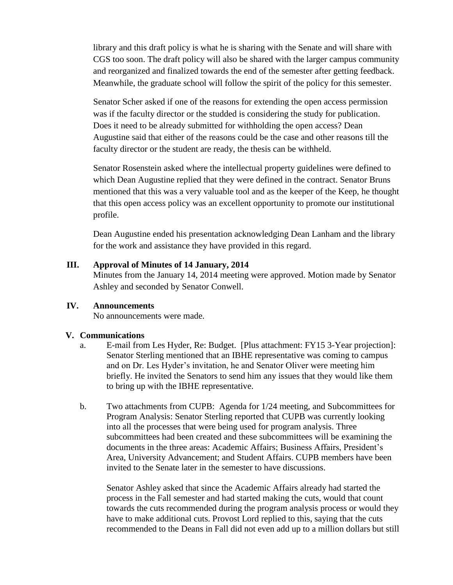library and this draft policy is what he is sharing with the Senate and will share with CGS too soon. The draft policy will also be shared with the larger campus community and reorganized and finalized towards the end of the semester after getting feedback. Meanwhile, the graduate school will follow the spirit of the policy for this semester.

Senator Scher asked if one of the reasons for extending the open access permission was if the faculty director or the studded is considering the study for publication. Does it need to be already submitted for withholding the open access? Dean Augustine said that either of the reasons could be the case and other reasons till the faculty director or the student are ready, the thesis can be withheld.

Senator Rosenstein asked where the intellectual property guidelines were defined to which Dean Augustine replied that they were defined in the contract. Senator Bruns mentioned that this was a very valuable tool and as the keeper of the Keep, he thought that this open access policy was an excellent opportunity to promote our institutional profile.

Dean Augustine ended his presentation acknowledging Dean Lanham and the library for the work and assistance they have provided in this regard.

#### **III. Approval of Minutes of 14 January, 2014**

Minutes from the January 14, 2014 meeting were approved. Motion made by Senator Ashley and seconded by Senator Conwell.

## **IV. Announcements**

No announcements were made.

## **V. Communications**

- a. E-mail from Les Hyder, Re: Budget. [Plus attachment: FY15 3-Year projection]: Senator Sterling mentioned that an IBHE representative was coming to campus and on Dr. Les Hyder's invitation, he and Senator Oliver were meeting him briefly. He invited the Senators to send him any issues that they would like them to bring up with the IBHE representative.
- b. Two attachments from CUPB: Agenda for 1/24 meeting, and Subcommittees for Program Analysis: Senator Sterling reported that CUPB was currently looking into all the processes that were being used for program analysis. Three subcommittees had been created and these subcommittees will be examining the documents in the three areas: Academic Affairs; Business Affairs, President's Area, University Advancement; and Student Affairs. CUPB members have been invited to the Senate later in the semester to have discussions.

Senator Ashley asked that since the Academic Affairs already had started the process in the Fall semester and had started making the cuts, would that count towards the cuts recommended during the program analysis process or would they have to make additional cuts. Provost Lord replied to this, saying that the cuts recommended to the Deans in Fall did not even add up to a million dollars but still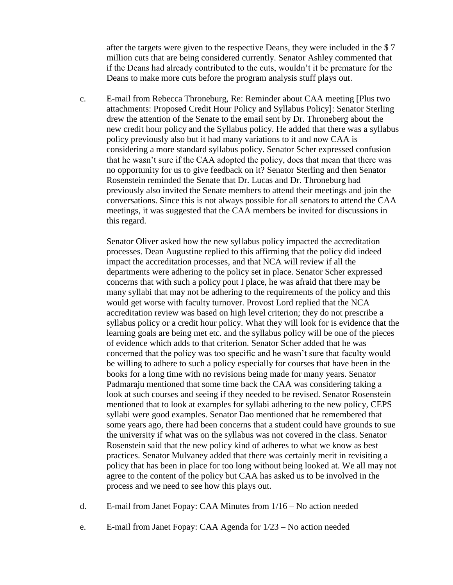after the targets were given to the respective Deans, they were included in the \$ 7 million cuts that are being considered currently. Senator Ashley commented that if the Deans had already contributed to the cuts, wouldn't it be premature for the Deans to make more cuts before the program analysis stuff plays out.

c. E-mail from Rebecca Throneburg, Re: Reminder about CAA meeting [Plus two attachments: Proposed Credit Hour Policy and Syllabus Policy]: Senator Sterling drew the attention of the Senate to the email sent by Dr. Throneberg about the new credit hour policy and the Syllabus policy. He added that there was a syllabus policy previously also but it had many variations to it and now CAA is considering a more standard syllabus policy. Senator Scher expressed confusion that he wasn't sure if the CAA adopted the policy, does that mean that there was no opportunity for us to give feedback on it? Senator Sterling and then Senator Rosenstein reminded the Senate that Dr. Lucas and Dr. Throneburg had previously also invited the Senate members to attend their meetings and join the conversations. Since this is not always possible for all senators to attend the CAA meetings, it was suggested that the CAA members be invited for discussions in this regard.

Senator Oliver asked how the new syllabus policy impacted the accreditation processes. Dean Augustine replied to this affirming that the policy did indeed impact the accreditation processes, and that NCA will review if all the departments were adhering to the policy set in place. Senator Scher expressed concerns that with such a policy pout I place, he was afraid that there may be many syllabi that may not be adhering to the requirements of the policy and this would get worse with faculty turnover. Provost Lord replied that the NCA accreditation review was based on high level criterion; they do not prescribe a syllabus policy or a credit hour policy. What they will look for is evidence that the learning goals are being met etc. and the syllabus policy will be one of the pieces of evidence which adds to that criterion. Senator Scher added that he was concerned that the policy was too specific and he wasn't sure that faculty would be willing to adhere to such a policy especially for courses that have been in the books for a long time with no revisions being made for many years. Senator Padmaraju mentioned that some time back the CAA was considering taking a look at such courses and seeing if they needed to be revised. Senator Rosenstein mentioned that to look at examples for syllabi adhering to the new policy, CEPS syllabi were good examples. Senator Dao mentioned that he remembered that some years ago, there had been concerns that a student could have grounds to sue the university if what was on the syllabus was not covered in the class. Senator Rosenstein said that the new policy kind of adheres to what we know as best practices. Senator Mulvaney added that there was certainly merit in revisiting a policy that has been in place for too long without being looked at. We all may not agree to the content of the policy but CAA has asked us to be involved in the process and we need to see how this plays out.

- d. E-mail from Janet Fopay: CAA Minutes from 1/16 No action needed
- e. E-mail from Janet Fopay: CAA Agenda for 1/23 No action needed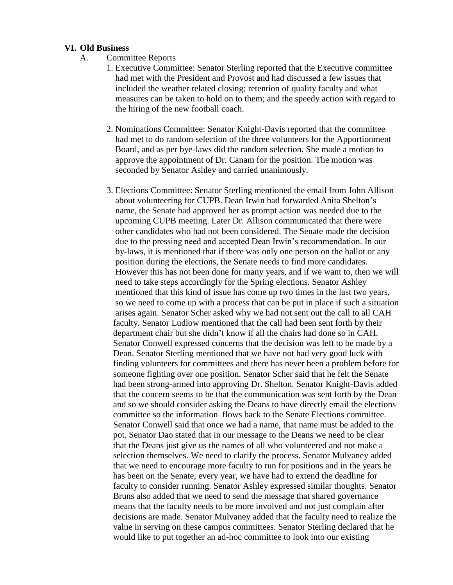#### **VI. Old Business**

- A. Committee Reports
	- 1. Executive Committee: Senator Sterling reported that the Executive committee had met with the President and Provost and had discussed a few issues that included the weather related closing; retention of quality faculty and what measures can be taken to hold on to them; and the speedy action with regard to the hiring of the new football coach.
	- 2. Nominations Committee: Senator Knight-Davis reported that the committee had met to do random selection of the three volunteers for the Apportionment Board, and as per bye-laws did the random selection. She made a motion to approve the appointment of Dr. Canam for the position. The motion was seconded by Senator Ashley and carried unanimously.
	- 3. Elections Committee: Senator Sterling mentioned the email from John Allison about volunteering for CUPB. Dean Irwin had forwarded Anita Shelton's name, the Senate had approved her as prompt action was needed due to the upcoming CUPB meeting. Later Dr. Allison communicated that there were other candidates who had not been considered. The Senate made the decision due to the pressing need and accepted Dean Irwin's recommendation. In our by-laws, it is mentioned that if there was only one person on the ballot or any position during the elections, the Senate needs to find more candidates. However this has not been done for many years, and if we want to, then we will need to take steps accordingly for the Spring elections. Senator Ashley mentioned that this kind of issue has come up two times in the last two years, so we need to come up with a process that can be put in place if such a situation arises again. Senator Scher asked why we had not sent out the call to all CAH faculty. Senator Ludlow mentioned that the call had been sent forth by their department chair but she didn't know if all the chairs had done so in CAH. Senator Conwell expressed concerns that the decision was left to be made by a Dean. Senator Sterling mentioned that we have not had very good luck with finding volunteers for committees and there has never been a problem before for someone fighting over one position. Senator Scher said that he felt the Senate had been strong-armed into approving Dr. Shelton. Senator Knight-Davis added that the concern seems to be that the communication was sent forth by the Dean and so we should consider asking the Deans to have directly email the elections committee so the information flows back to the Senate Elections committee. Senator Conwell said that once we had a name, that name must be added to the pot. Senator Dao stated that in our message to the Deans we need to be clear that the Deans just give us the names of all who volunteered and not make a selection themselves. We need to clarify the process. Senator Mulvaney added that we need to encourage more faculty to run for positions and in the years he has been on the Senate, every year, we have had to extend the deadline for faculty to consider running. Senator Ashley expressed similar thoughts. Senator Bruns also added that we need to send the message that shared governance means that the faculty needs to be more involved and not just complain after decisions are made. Senator Mulvaney added that the faculty need to realize the value in serving on these campus committees. Senator Sterling declared that he would like to put together an ad-hoc committee to look into our existing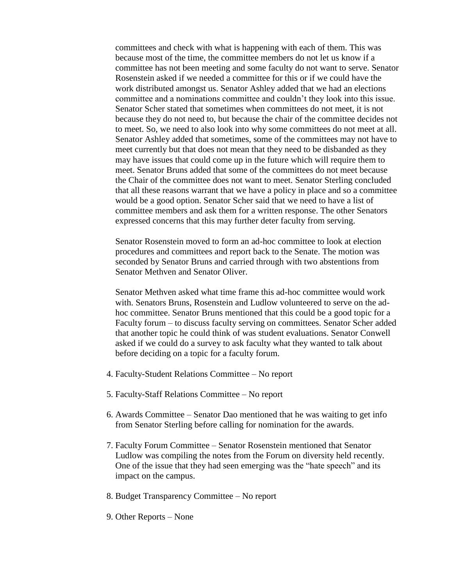committees and check with what is happening with each of them. This was because most of the time, the committee members do not let us know if a committee has not been meeting and some faculty do not want to serve. Senator Rosenstein asked if we needed a committee for this or if we could have the work distributed amongst us. Senator Ashley added that we had an elections committee and a nominations committee and couldn't they look into this issue. Senator Scher stated that sometimes when committees do not meet, it is not because they do not need to, but because the chair of the committee decides not to meet. So, we need to also look into why some committees do not meet at all. Senator Ashley added that sometimes, some of the committees may not have to meet currently but that does not mean that they need to be disbanded as they may have issues that could come up in the future which will require them to meet. Senator Bruns added that some of the committees do not meet because the Chair of the committee does not want to meet. Senator Sterling concluded that all these reasons warrant that we have a policy in place and so a committee would be a good option. Senator Scher said that we need to have a list of committee members and ask them for a written response. The other Senators expressed concerns that this may further deter faculty from serving.

 Senator Rosenstein moved to form an ad-hoc committee to look at election procedures and committees and report back to the Senate. The motion was seconded by Senator Bruns and carried through with two abstentions from Senator Methven and Senator Oliver.

 Senator Methven asked what time frame this ad-hoc committee would work with. Senators Bruns, Rosenstein and Ludlow volunteered to serve on the ad hoc committee. Senator Bruns mentioned that this could be a good topic for a Faculty forum – to discuss faculty serving on committees. Senator Scher added that another topic he could think of was student evaluations. Senator Conwell asked if we could do a survey to ask faculty what they wanted to talk about before deciding on a topic for a faculty forum.

- 4. Faculty-Student Relations Committee No report
- 5. Faculty-Staff Relations Committee No report
- 6. Awards Committee Senator Dao mentioned that he was waiting to get info from Senator Sterling before calling for nomination for the awards.
- 7. Faculty Forum Committee Senator Rosenstein mentioned that Senator Ludlow was compiling the notes from the Forum on diversity held recently. One of the issue that they had seen emerging was the "hate speech" and its impact on the campus.
- 8. Budget Transparency Committee No report
- 9. Other Reports None